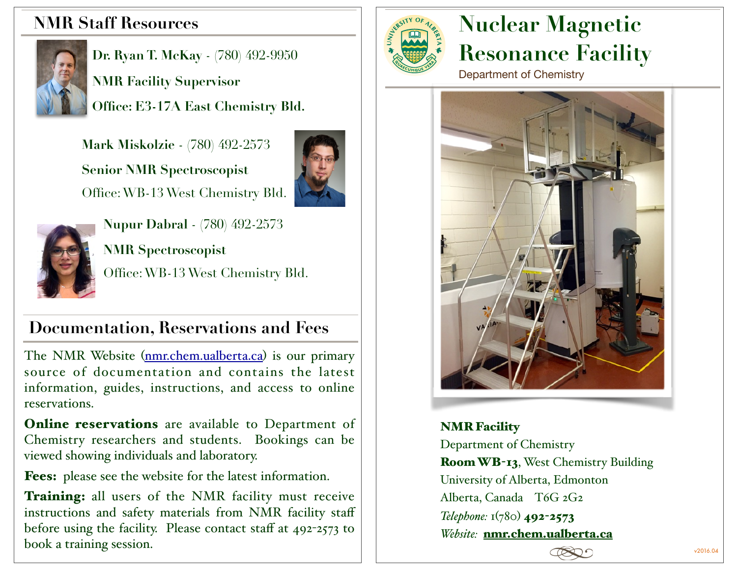# **NMR Staff Resources**



**Dr. Ryan T. McKay** - (780) 492-9950 **NMR Facility Supervisor Office: E3-17A East Chemistry Bld.** 

 **Mark Miskolzie** - (780) 492-2573  **Senior NMR Spectroscopist**  Office: WB-13 West Chemistry Bld.





**Nupur Dabral** - (780) 492-2573 **NMR Spectroscopist**  Office: WB-13 West Chemistry Bld.

# **Documentation, Reservations and Fees**

The NMR Website (nmr.chem.ualberta.ca) is our primary source of documentation and contains the latest information, guides, instructions, and access to online reservations.

**Online reservations** are available to Department of Chemistry researchers and students. Bookings can be viewed showing individuals and laboratory.

Fees: please see the website for the latest information.

Training: all users of the NMR facility must receive instructions and safety materials from NMR facility staff before using the facility. Please contact staff at 492-2573 to book a training session.



# **Nuclear Magnetic Resonance Facility**

Department of Chemistry



NMR Facility Department of Chemistry Room WB-13, West Chemistry Building University of Alberta, Edmonton Alberta, Canada T6G 2G2 *Telephone:* 1(780) 492-2573 *Website:* nmr.chem.ualberta.ca